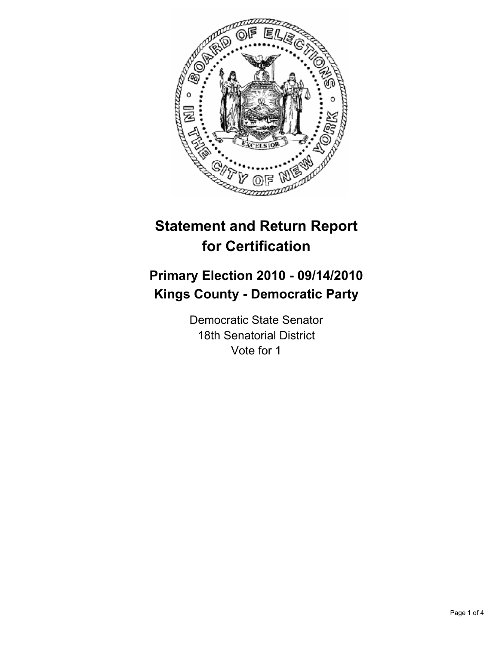

# **Statement and Return Report for Certification**

# **Primary Election 2010 - 09/14/2010 Kings County - Democratic Party**

Democratic State Senator 18th Senatorial District Vote for 1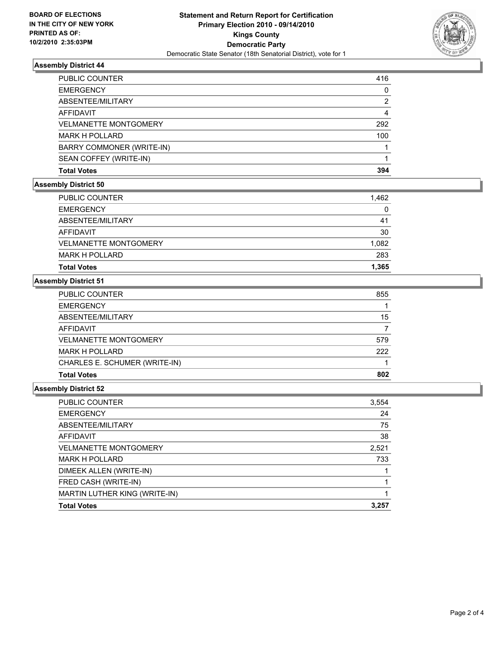

## **Assembly District 44**

| PUBLIC COUNTER               | 416 |
|------------------------------|-----|
| <b>EMERGENCY</b>             | 0   |
| ABSENTEE/MILITARY            | 2   |
| AFFIDAVIT                    | 4   |
| <b>VELMANETTE MONTGOMERY</b> | 292 |
| <b>MARK H POLLARD</b>        | 100 |
| BARRY COMMONER (WRITE-IN)    |     |
| SEAN COFFEY (WRITE-IN)       |     |
| <b>Total Votes</b>           | 394 |

## **Assembly District 50**

| <b>Total Votes</b>           | 1,365 |
|------------------------------|-------|
| <b>MARK H POLLARD</b>        | 283   |
| <b>VELMANETTE MONTGOMERY</b> | 1,082 |
| AFFIDAVIT                    | 30    |
| ABSENTEE/MILITARY            | 41    |
| <b>EMERGENCY</b>             | 0     |
| <b>PUBLIC COUNTER</b>        | 1,462 |

## **Assembly District 51**

| <b>PUBLIC COUNTER</b>         | 855 |
|-------------------------------|-----|
| <b>EMERGENCY</b>              |     |
| ABSENTEE/MILITARY             | 15  |
| AFFIDAVIT                     |     |
| <b>VELMANETTE MONTGOMERY</b>  | 579 |
| <b>MARK H POLLARD</b>         | 222 |
| CHARLES E. SCHUMER (WRITE-IN) |     |
| <b>Total Votes</b>            | 802 |

#### **Assembly District 52**

| PUBLIC COUNTER                | 3,554 |
|-------------------------------|-------|
| <b>EMERGENCY</b>              | 24    |
| ABSENTEE/MILITARY             | 75    |
| <b>AFFIDAVIT</b>              | 38    |
| <b>VELMANETTE MONTGOMERY</b>  | 2,521 |
| <b>MARK H POLLARD</b>         | 733   |
| DIMEEK ALLEN (WRITE-IN)       |       |
| FRED CASH (WRITE-IN)          |       |
| MARTIN LUTHER KING (WRITE-IN) |       |
| <b>Total Votes</b>            | 3.257 |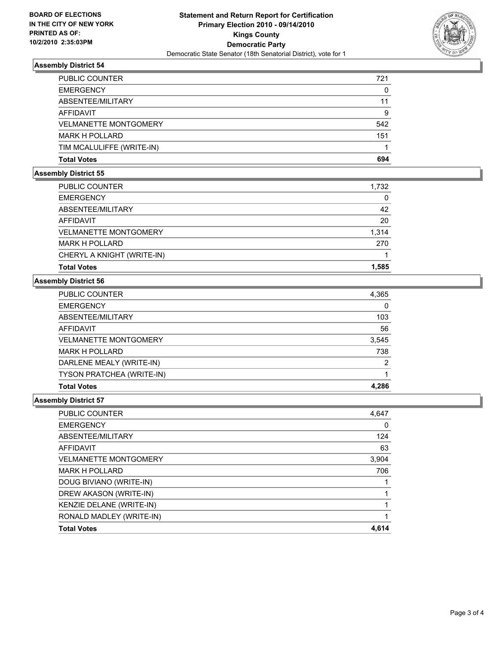

## **Assembly District 54**

| <b>PUBLIC COUNTER</b>        | 721 |
|------------------------------|-----|
| <b>EMERGENCY</b>             | 0   |
| ABSENTEE/MILITARY            | 11  |
| AFFIDAVIT                    | 9   |
| <b>VELMANETTE MONTGOMERY</b> | 542 |
| <b>MARK H POLLARD</b>        | 151 |
| TIM MCALULIFFE (WRITE-IN)    |     |
| <b>Total Votes</b>           | 694 |

## **Assembly District 55**

| PUBLIC COUNTER               | 1,732 |
|------------------------------|-------|
| <b>EMERGENCY</b>             | 0     |
| ABSENTEE/MILITARY            | 42    |
| AFFIDAVIT                    | 20    |
| <b>VELMANETTE MONTGOMERY</b> | 1.314 |
| <b>MARK H POLLARD</b>        | 270   |
| CHERYL A KNIGHT (WRITE-IN)   |       |
| <b>Total Votes</b>           | 1.585 |

## **Assembly District 56**

| PUBLIC COUNTER               | 4,365 |
|------------------------------|-------|
| <b>EMERGENCY</b>             | 0     |
| ABSENTEE/MILITARY            | 103   |
| AFFIDAVIT                    | 56    |
| <b>VELMANETTE MONTGOMERY</b> | 3,545 |
| <b>MARK H POLLARD</b>        | 738   |
| DARLENE MEALY (WRITE-IN)     | 2     |
| TYSON PRATCHEA (WRITE-IN)    |       |
| <b>Total Votes</b>           | 4.286 |

## **Assembly District 57**

| <b>PUBLIC COUNTER</b>        | 4,647 |
|------------------------------|-------|
| <b>EMERGENCY</b>             | 0     |
| ABSENTEE/MILITARY            | 124   |
| <b>AFFIDAVIT</b>             | 63    |
| <b>VELMANETTE MONTGOMERY</b> | 3,904 |
| <b>MARK H POLLARD</b>        | 706   |
| DOUG BIVIANO (WRITE-IN)      |       |
| DREW AKASON (WRITE-IN)       |       |
| KENZIE DELANE (WRITE-IN)     |       |
| RONALD MADLEY (WRITE-IN)     |       |
| <b>Total Votes</b>           | 4.614 |